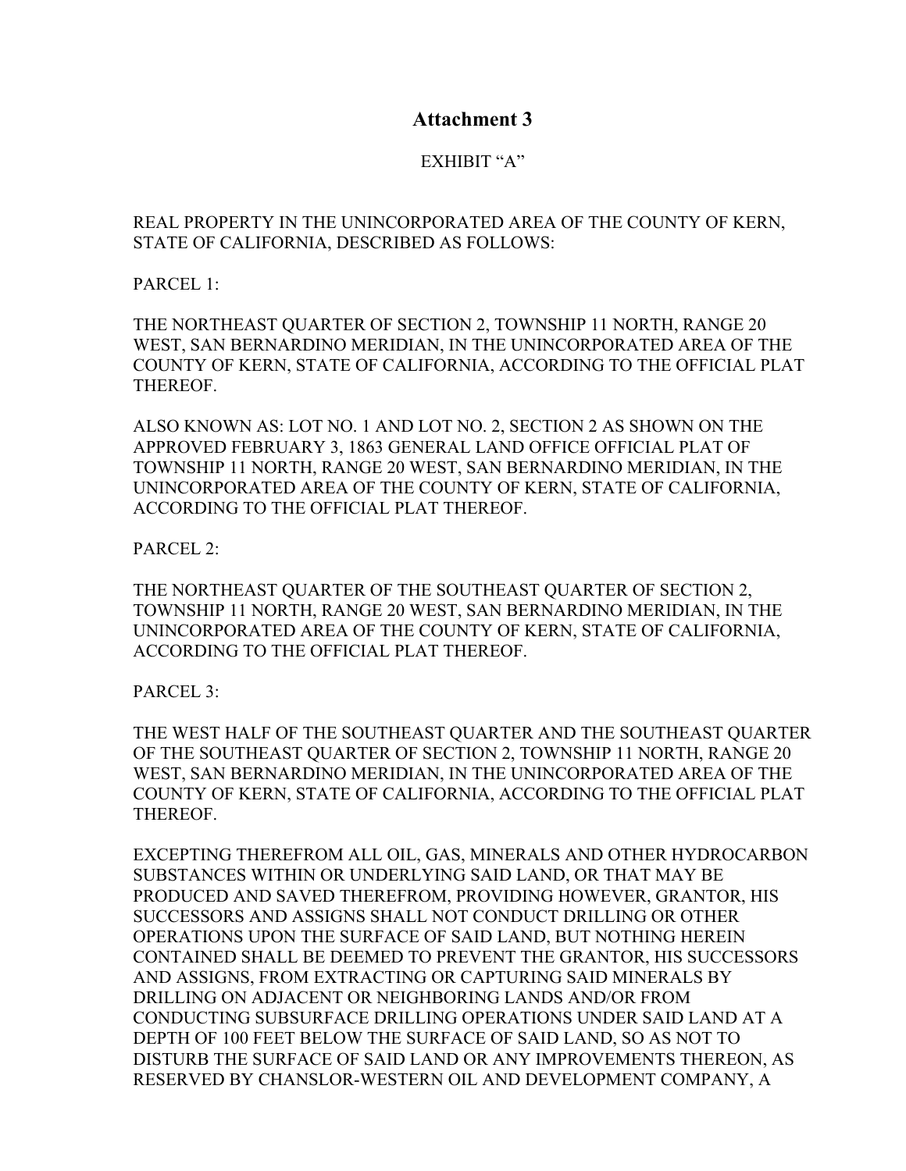## **Attachment 3**

## EXHIBIT "A"

## REAL PROPERTY IN THE UNINCORPORATED AREA OF THE COUNTY OF KERN, STATE OF CALIFORNIA, DESCRIBED AS FOLLOWS:

PARCEL 1:

THE NORTHEAST QUARTER OF SECTION 2, TOWNSHIP 11 NORTH, RANGE 20 WEST, SAN BERNARDINO MERIDIAN, IN THE UNINCORPORATED AREA OF THE COUNTY OF KERN, STATE OF CALIFORNIA, ACCORDING TO THE OFFICIAL PLAT THEREOF.

ALSO KNOWN AS: LOT NO. 1 AND LOT NO. 2, SECTION 2 AS SHOWN ON THE APPROVED FEBRUARY 3, 1863 GENERAL LAND OFFICE OFFICIAL PLAT OF TOWNSHIP 11 NORTH, RANGE 20 WEST, SAN BERNARDINO MERIDIAN, IN THE UNINCORPORATED AREA OF THE COUNTY OF KERN, STATE OF CALIFORNIA, ACCORDING TO THE OFFICIAL PLAT THEREOF.

PARCEL 2:

THE NORTHEAST QUARTER OF THE SOUTHEAST QUARTER OF SECTION 2, TOWNSHIP 11 NORTH, RANGE 20 WEST, SAN BERNARDINO MERIDIAN, IN THE UNINCORPORATED AREA OF THE COUNTY OF KERN, STATE OF CALIFORNIA, ACCORDING TO THE OFFICIAL PLAT THEREOF.

PARCEL 3:

THE WEST HALF OF THE SOUTHEAST QUARTER AND THE SOUTHEAST QUARTER OF THE SOUTHEAST QUARTER OF SECTION 2, TOWNSHIP 11 NORTH, RANGE 20 WEST, SAN BERNARDINO MERIDIAN, IN THE UNINCORPORATED AREA OF THE COUNTY OF KERN, STATE OF CALIFORNIA, ACCORDING TO THE OFFICIAL PLAT THEREOF.

EXCEPTING THEREFROM ALL OIL, GAS, MINERALS AND OTHER HYDROCARBON SUBSTANCES WITHIN OR UNDERLYING SAID LAND, OR THAT MAY BE PRODUCED AND SAVED THEREFROM, PROVIDING HOWEVER, GRANTOR, HIS SUCCESSORS AND ASSIGNS SHALL NOT CONDUCT DRILLING OR OTHER OPERATIONS UPON THE SURFACE OF SAID LAND, BUT NOTHING HEREIN CONTAINED SHALL BE DEEMED TO PREVENT THE GRANTOR, HIS SUCCESSORS AND ASSIGNS, FROM EXTRACTING OR CAPTURING SAID MINERALS BY DRILLING ON ADJACENT OR NEIGHBORING LANDS AND/OR FROM CONDUCTING SUBSURFACE DRILLING OPERATIONS UNDER SAID LAND AT A DEPTH OF 100 FEET BELOW THE SURFACE OF SAID LAND, SO AS NOT TO DISTURB THE SURFACE OF SAID LAND OR ANY IMPROVEMENTS THEREON, AS RESERVED BY CHANSLOR-WESTERN OIL AND DEVELOPMENT COMPANY, A